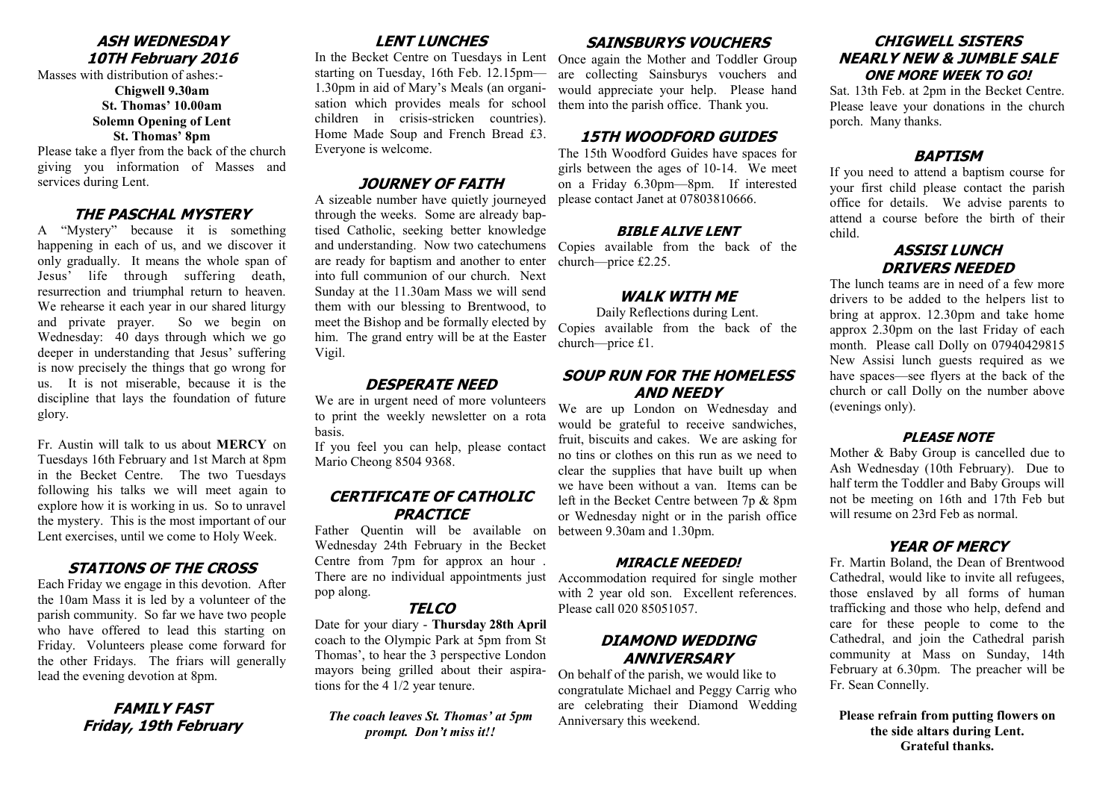#### **ASH WEDNESDAY 10TH February 2016**

Masses with distribution of ashes:- **Chigwell 9.30am St. Thomas' 10.00am Solemn Opening of Lent St. Thomas' 8pm**

Please take a flyer from the back of the church giving you information of Masses and services during Lent.

#### **THE PASCHAL MYSTERY**

A "Mystery" because it is something happening in each of us, and we discover it only gradually. It means the whole span of Jesus' life through suffering death, resurrection and triumphal return to heaven. We rehearse it each year in our shared liturgy and private prayer. So we begin on Wednesday: 40 days through which we go deeper in understanding that Jesus' suffering is now precisely the things that go wrong for us. It is not miserable, because it is the discipline that lays the foundation of future glory.

Fr. Austin will talk to us about **MERCY** on Tuesdays 16th February and 1st March at 8pm in the Becket Centre. The two Tuesdays following his talks we will meet again to explore how it is working in us. So to unravel the mystery. This is the most important of our Lent exercises, until we come to Holy Week.

#### **STATIONS OF THE CROSS**

Each Friday we engage in this devotion. After the 10am Mass it is led by a volunteer of the parish community. So far we have two people who have offered to lead this starting on Friday. Volunteers please come forward for the other Fridays. The friars will generally lead the evening devotion at 8pm.

## **FAMILY FAST Friday, 19th February**

## **LENT LUNCHES**

starting on Tuesday, 16th Feb. 12.15pm— 1.30pm in aid of Mary's Meals (an organisation which provides meals for school children in crisis-stricken countries). Home Made Soup and French Bread £3. Everyone is welcome.

## **JOURNEY OF FAITH**

and understanding. Now two catechumens Copies available from the back of the A sizeable number have quietly journeyed through the weeks. Some are already baptised Catholic, seeking better knowledge are ready for baptism and another to enter into full communion of our church. Next Sunday at the 11.30am Mass we will send them with our blessing to Brentwood, to meet the Bishop and be formally elected by him. The grand entry will be at the Easter Vigil.

## **DESPERATE NEED**

We are in urgent need of more volunteers to print the weekly newsletter on a rota basis.

If you feel you can help, please contact Mario Cheong 8504 9368.

## **CERTIFICATE OF CATHOLIC PRACTICE**

There are no individual appointments just Accommodation required for single mother Father Quentin will be available on Wednesday 24th February in the Becket Centre from 7pm for approx an hour . pop along.

#### **TELCO**

Date for your diary - **Thursday 28th April**  coach to the Olympic Park at 5pm from St Thomas', to hear the 3 perspective London mayors being grilled about their aspirations for the 4 1/2 year tenure.

*The coach leaves St. Thomas' at 5pm prompt. Don't miss it!!*

#### **SAINSBURYS VOUCHERS**

In the Becket Centre on Tuesdays in Lent Once again the Mother and Toddler Group are collecting Sainsburys vouchers and would appreciate your help. Please hand them into the parish office. Thank you.

#### **15TH WOODFORD GUIDES**

The 15th Woodford Guides have spaces for girls between the ages of 10-14. We meet on a Friday 6.30pm—8pm. If interested please contact Janet at 07803810666.

#### **BIBLE ALIVE LENT**

church—price £2.25.

#### **WALK WITH ME**

Daily Reflections during Lent. Copies available from the back of the church—price £1.

## **SOUP RUN FOR THE HOMELESS AND NEEDY**

We are up London on Wednesday and would be grateful to receive sandwiches, fruit, biscuits and cakes. We are asking for no tins or clothes on this run as we need to clear the supplies that have built up when we have been without a van. Items can be left in the Becket Centre between 7p & 8pm or Wednesday night or in the parish office between 9.30am and 1.30pm.

#### **MIRACLE NEEDED!**

with 2 year old son. Excellent references. Please call 020 85051057.

## **DIAMOND WEDDING ANNIVERSARY**

On behalf of the parish, we would like to congratulate Michael and Peggy Carrig who are celebrating their Diamond Wedding Anniversary this weekend.

## **CHIGWELL SISTERS NEARLY NEW & JUMBLE SALE ONE MORE WEEK TO GO!**

Sat. 13th Feb. at 2pm in the Becket Centre. Please leave your donations in the church porch. Many thanks.

## **BAPTISM**

If you need to attend a baptism course for your first child please contact the parish office for details. We advise parents to attend a course before the birth of their child.

## **ASSISI LUNCH DRIVERS NEEDED**

The lunch teams are in need of a few more drivers to be added to the helpers list to bring at approx. 12.30pm and take home approx 2.30pm on the last Friday of each month. Please call Dolly on 07940429815 New Assisi lunch guests required as we have spaces—see flyers at the back of the church or call Dolly on the number above (evenings only).

#### **PLEASE NOTE**

Mother & Baby Group is cancelled due to Ash Wednesday (10th February). Due to half term the Toddler and Baby Groups will not be meeting on 16th and 17th Feb but will resume on 23rd Feb as normal.

## **YEAR OF MERCY**

Fr. Martin Boland, the Dean of Brentwood Cathedral, would like to invite all refugees, those enslaved by all forms of human trafficking and those who help, defend and care for these people to come to the Cathedral, and join the Cathedral parish community at Mass on Sunday, 14th February at 6.30pm. The preacher will be Fr. Sean Connelly.

**Please refrain from putting flowers on the side altars during Lent. Grateful thanks.**